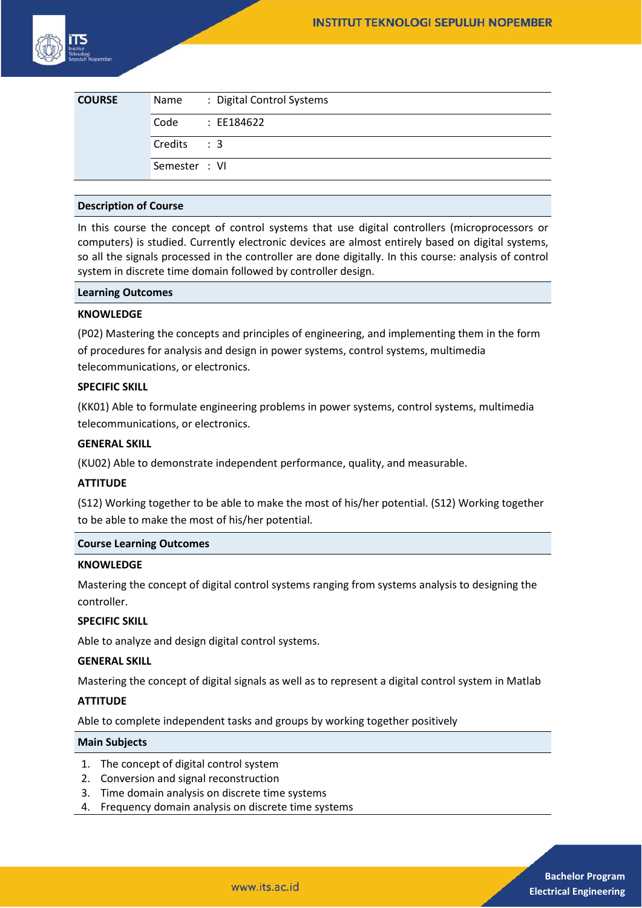| <b>COURSE</b> | Name          | : Digital Control Systems |
|---------------|---------------|---------------------------|
|               | Code          | : EE184622                |
|               | Credits : 3   |                           |
|               | Semester : VI |                           |

## **Description of Course**

In this course the concept of control systems that use digital controllers (microprocessors or computers) is studied. Currently electronic devices are almost entirely based on digital systems, so all the signals processed in the controller are done digitally. In this course: analysis of control system in discrete time domain followed by controller design.

### **Learning Outcomes**

### **KNOWLEDGE**

(P02) Mastering the concepts and principles of engineering, and implementing them in the form of procedures for analysis and design in power systems, control systems, multimedia telecommunications, or electronics.

## **SPECIFIC SKILL**

(KK01) Able to formulate engineering problems in power systems, control systems, multimedia telecommunications, or electronics.

# **GENERAL SKILL**

(KU02) Able to demonstrate independent performance, quality, and measurable.

# **ATTITUDE**

(S12) Working together to be able to make the most of his/her potential. (S12) Working together to be able to make the most of his/her potential.

### **Course Learning Outcomes**

## **KNOWLEDGE**

Mastering the concept of digital control systems ranging from systems analysis to designing the controller.

# **SPECIFIC SKILL**

Able to analyze and design digital control systems.

## **GENERAL SKILL**

Mastering the concept of digital signals as well as to represent a digital control system in Matlab

# **ATTITUDE**

Able to complete independent tasks and groups by working together positively

### **Main Subjects**

- 1. The concept of digital control system
- 2. Conversion and signal reconstruction
- 3. Time domain analysis on discrete time systems
- 4. Frequency domain analysis on discrete time systems